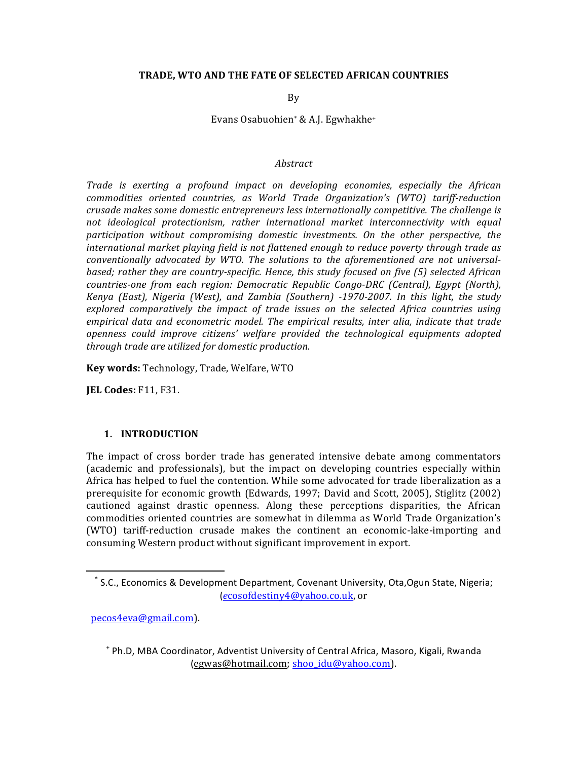### **TRADE, WTO AND THE FATE OF SELECTED AFRICAN COUNTRIES**

By

Evans Osabuohien<sup>\*</sup> & A.J. Egwhakhe<sup>+</sup>

#### *Abstract*

*Trade* is exerting a profound impact on developing economies, especially the African *commodities oriented countries, as World Trade Organization's (WTO) tariff-reduction crusade makes some domestic entrepreneurs less internationally competitive. The challenge is* not ideological protectionism, rather international market interconnectivity with equal *participation without compromising domestic investments. On the other perspective, the international market playing field is not flattened enough to reduce poverty through trade as* conventionally advocated by WTO. The solutions to the aforementioned are not universal*based;* rather they are country-specific. Hence, this study focused on five (5) selected African *countries-one from each region: Democratic Republic Congo-DRC (Central), Egypt (North), Kenya* (East), Nigeria (West), and Zambia (Southern) -1970-2007. In this light, the study explored comparatively the *impact of trade issues* on the selected Africa countries using *empirical data and econometric model. The empirical results, inter alia, indicate that trade openness* could *improve citizens'* welfare provided the technological equipments adopted *through trade are utilized for domestic production.* 

**Key words:** Technology, Trade, Welfare, WTO

**JEL Codes: F11, F31.** 

## **1. INTRODUCTION**

The impact of cross border trade has generated intensive debate among commentators (academic and professionals), but the impact on developing countries especially within Africa has helped to fuel the contention. While some advocated for trade liberalization as a prerequisite for economic growth (Edwards, 1997; David and Scott, 2005), Stiglitz (2002) cautioned against drastic openness. Along these perceptions disparities, the African commodities oriented countries are somewhat in dilemma as World Trade Organization's (WTO) tariff-reduction crusade makes the continent an economic-lake-importing and consuming Western product without significant improvement in export.

 pecos4eva@gmail.com). 

<u> 1989 - Johann Stein, markin film yn y breninn y breninn y breninn y breninn y breninn y breninn y breninn y b</u>

<sup>\*</sup> S.C., Economics & Development Department, Covenant University, Ota,Ogun State, Nigeria; (*e*cosofdestiny4@yahoo.co.uk, or

<sup>&</sup>lt;sup>+</sup> Ph.D, MBA Coordinator, Adventist University of Central Africa, Masoro, Kigali, Rwanda (egwas@hotmail.com; shoo\_idu@yahoo.com).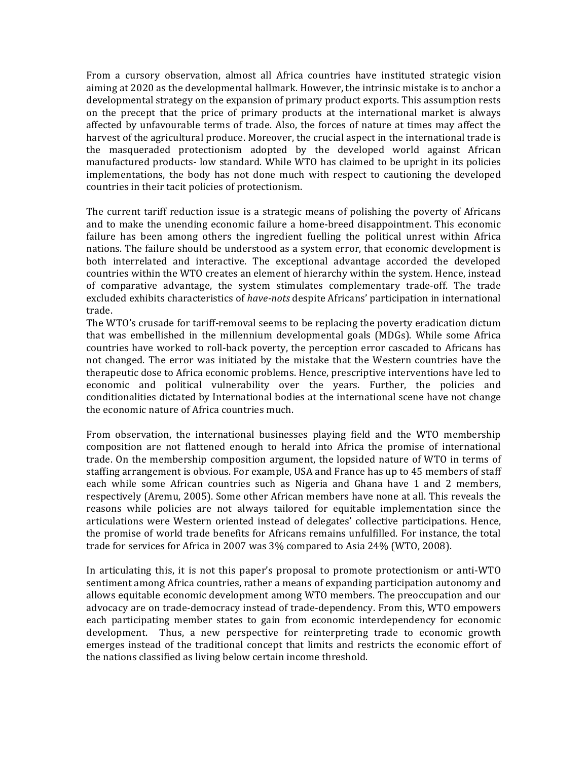From a cursory observation, almost all Africa countries have instituted strategic vision aiming at 2020 as the developmental hallmark. However, the intrinsic mistake is to anchor a developmental strategy on the expansion of primary product exports. This assumption rests on the precept that the price of primary products at the international market is always affected by unfavourable terms of trade. Also, the forces of nature at times may affect the harvest of the agricultural produce. Moreover, the crucial aspect in the international trade is the masqueraded protectionism adopted by the developed world against African manufactured products- low standard. While WTO has claimed to be upright in its policies implementations, the body has not done much with respect to cautioning the developed countries in their tacit policies of protectionism.

The current tariff reduction issue is a strategic means of polishing the poverty of Africans and to make the unending economic failure a home-breed disappointment. This economic failure has been among others the ingredient fuelling the political unrest within Africa nations. The failure should be understood as a system error, that economic development is both interrelated and interactive. The exceptional advantage accorded the developed countries within the WTO creates an element of hierarchy within the system. Hence, instead of comparative advantage, the system stimulates complementary trade-off. The trade excluded exhibits characteristics of *have-nots* despite Africans' participation in international trade. 

The WTO's crusade for tariff-removal seems to be replacing the poverty eradication dictum that was embellished in the millennium developmental goals (MDGs). While some Africa countries have worked to roll-back poverty, the perception error cascaded to Africans has not changed. The error was initiated by the mistake that the Western countries have the therapeutic dose to Africa economic problems. Hence, prescriptive interventions have led to economic and political vulnerability over the years. Further, the policies and conditionalities dictated by International bodies at the international scene have not change the economic nature of Africa countries much.

From observation, the international businesses playing field and the WTO membership composition are not flattened enough to herald into Africa the promise of international trade. On the membership composition argument, the lopsided nature of WTO in terms of staffing arrangement is obvious. For example, USA and France has up to 45 members of staff each while some African countries such as Nigeria and Ghana have 1 and 2 members, respectively (Aremu, 2005). Some other African members have none at all. This reveals the reasons while policies are not always tailored for equitable implementation since the articulations were Western oriented instead of delegates' collective participations. Hence, the promise of world trade benefits for Africans remains unfulfilled. For instance, the total trade for services for Africa in 2007 was  $3\%$  compared to Asia 24% (WTO, 2008).

In articulating this, it is not this paper's proposal to promote protectionism or anti-WTO sentiment among Africa countries, rather a means of expanding participation autonomy and allows equitable economic development among WTO members. The preoccupation and our advocacy are on trade-democracy instead of trade-dependency. From this, WTO empowers each participating member states to gain from economic interdependency for economic development. Thus, a new perspective for reinterpreting trade to economic growth emerges instead of the traditional concept that limits and restricts the economic effort of the nations classified as living below certain income threshold.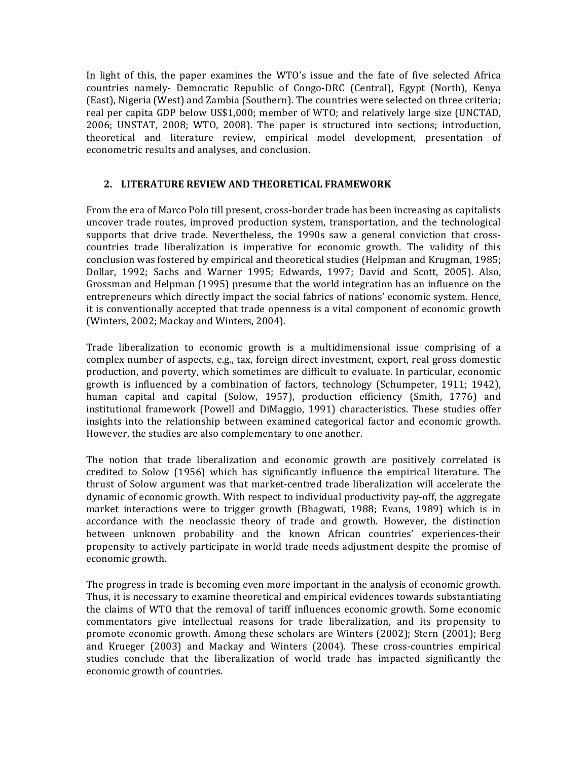In light of this, the paper examines the WTO's issue and the fate of five selected Africa countries namely- Democratic Republic of Congo-DRC (Central), Egypt (North), Kenya (East), Nigeria (West) and Zambia (Southern). The countries were selected on three criteria; real per capita GDP below US\$1,000; member of WTO; and relatively large size (UNCTAD, 2006; UNSTAT, 2008; WTO, 2008). The paper is structured into sections; introduction, theoretical and literature review, empirical model development, presentation of econometric results and analyses, and conclusion.

# 2. LITERATURE REVIEW AND THEORETICAL FRAMEWORK

From the era of Marco Polo till present, cross-border trade has been increasing as capitalists uncover trade routes, improved production system, transportation, and the technological supports that drive trade. Nevertheless, the 1990s saw a general conviction that crosscountries trade liberalization is imperative for economic growth. The validity of this conclusion was fostered by empirical and theoretical studies (Helpman and Krugman, 1985; Dollar, 1992; Sachs and Warner 1995; Edwards, 1997; David and Scott, 2005). Also, Grossman and Helpman (1995) presume that the world integration has an influence on the entrepreneurs which directly impact the social fabrics of nations' economic system. Hence, it is conventionally accepted that trade openness is a vital component of economic growth (Winters, 2002; Mackay and Winters, 2004).

Trade liberalization to economic growth is a multidimensional issue comprising of a complex number of aspects, e.g., tax, foreign direct investment, export, real gross domestic production, and poverty, which sometimes are difficult to evaluate. In particular, economic growth is influenced by a combination of factors, technology (Schumpeter, 1911; 1942), human capital and capital (Solow, 1957), production efficiency (Smith, 1776) and institutional framework (Powell and DiMaggio, 1991) characteristics. These studies offer insights into the relationship between examined categorical factor and economic growth. However, the studies are also complementary to one another.

The notion that trade liberalization and economic growth are positively correlated is credited to Solow (1956) which has significantly influence the empirical literature. The thrust of Solow argument was that market-centred trade liberalization will accelerate the dynamic of economic growth. With respect to individual productivity pay-off, the aggregate market interactions were to trigger growth (Bhagwati, 1988; Evans, 1989) which is in accordance with the neoclassic theory of trade and growth. However, the distinction between unknown probability and the known African countries' experiences-their propensity to actively participate in world trade needs adjustment despite the promise of economic growth.

The progress in trade is becoming even more important in the analysis of economic growth. Thus, it is necessary to examine theoretical and empirical evidences towards substantiating the claims of WTO that the removal of tariff influences economic growth. Some economic commentators give intellectual reasons for trade liberalization, and its propensity to promote economic growth. Among these scholars are Winters (2002); Stern (2001); Berg and Krueger  $(2003)$  and Mackay and Winters  $(2004)$ . These cross-countries empirical studies conclude that the liberalization of world trade has impacted significantly the economic growth of countries.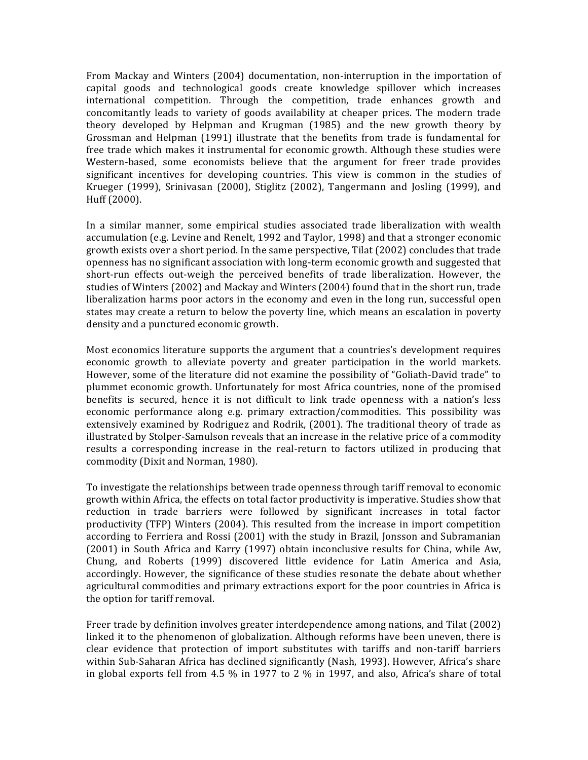From Mackay and Winters (2004) documentation, non-interruption in the importation of capital goods and technological goods create knowledge spillover which increases international competition. Through the competition, trade enhances growth and concomitantly leads to variety of goods availability at cheaper prices. The modern trade theory developed by Helpman and Krugman (1985) and the new growth theory by Grossman and Helpman (1991) illustrate that the benefits from trade is fundamental for free trade which makes it instrumental for economic growth. Although these studies were Western-based, some economists believe that the argument for freer trade provides significant incentives for developing countries. This view is common in the studies of Krueger  $(1999)$ , Srinivasan  $(2000)$ , Stiglitz  $(2002)$ , Tangermann and Josling  $(1999)$ , and Huff (2000).

In a similar manner, some empirical studies associated trade liberalization with wealth accumulation (e.g. Levine and Renelt, 1992 and Taylor, 1998) and that a stronger economic growth exists over a short period. In the same perspective, Tilat  $(2002)$  concludes that trade openness has no significant association with long-term economic growth and suggested that short-run effects out-weigh the perceived benefits of trade liberalization. However, the studies of Winters (2002) and Mackay and Winters (2004) found that in the short run, trade liberalization harms poor actors in the economy and even in the long run, successful open states may create a return to below the poverty line, which means an escalation in poverty density and a punctured economic growth.

Most economics literature supports the argument that a countries's development requires economic growth to alleviate poverty and greater participation in the world markets. However, some of the literature did not examine the possibility of "Goliath-David trade" to plummet economic growth. Unfortunately for most Africa countries, none of the promised benefits is secured, hence it is not difficult to link trade openness with a nation's less economic performance along e.g. primary extraction/commodities. This possibility was extensively examined by Rodriguez and Rodrik, (2001). The traditional theory of trade as illustrated by Stolper-Samulson reveals that an increase in the relative price of a commodity results a corresponding increase in the real-return to factors utilized in producing that commodity (Dixit and Norman, 1980).

To investigate the relationships between trade openness through tariff removal to economic growth within Africa, the effects on total factor productivity is imperative. Studies show that reduction in trade barriers were followed by significant increases in total factor productivity (TFP) Winters (2004). This resulted from the increase in import competition according to Ferriera and Rossi (2001) with the study in Brazil, Jonsson and Subramanian (2001) in South Africa and Karry (1997) obtain inconclusive results for China, while Aw, Chung, and Roberts (1999) discovered little evidence for Latin America and Asia, accordingly. However, the significance of these studies resonate the debate about whether agricultural commodities and primary extractions export for the poor countries in Africa is the option for tariff removal.

Freer trade by definition involves greater interdependence among nations, and Tilat (2002) linked it to the phenomenon of globalization. Although reforms have been uneven, there is clear evidence that protection of import substitutes with tariffs and non-tariff barriers within Sub-Saharan Africa has declined significantly (Nash, 1993). However, Africa's share in global exports fell from 4.5  $%$  in 1977 to 2  $%$  in 1997, and also, Africa's share of total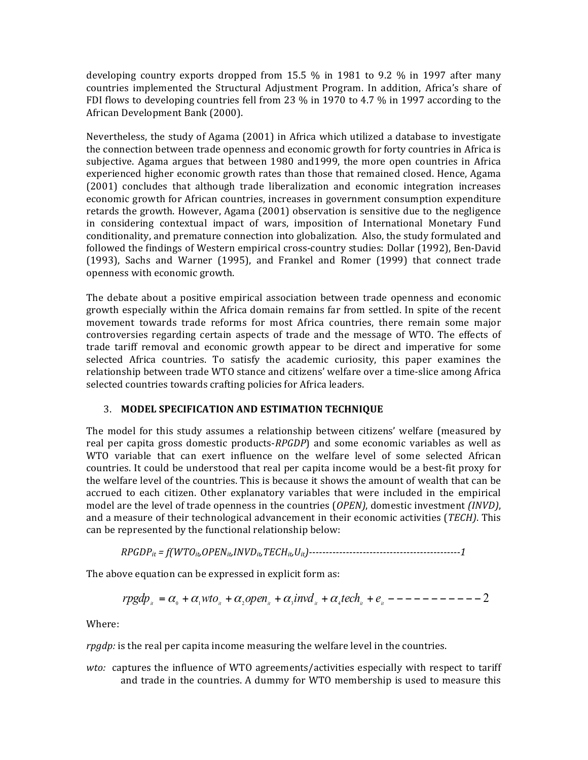developing country exports dropped from 15.5  $\%$  in 1981 to 9.2  $\%$  in 1997 after many countries implemented the Structural Adjustment Program. In addition, Africa's share of FDI flows to developing countries fell from 23  $%$  in 1970 to 4.7  $%$  in 1997 according to the African Development Bank (2000).

Nevertheless, the study of Agama (2001) in Africa which utilized a database to investigate the connection between trade openness and economic growth for forty countries in Africa is subjective. Agama argues that between 1980 and1999, the more open countries in Africa experienced higher economic growth rates than those that remained closed. Hence, Agama (2001) concludes that although trade liberalization and economic integration increases economic growth for African countries, increases in government consumption expenditure retards the growth. However, Agama (2001) observation is sensitive due to the negligence in considering contextual impact of wars, imposition of International Monetary Fund conditionality, and premature connection into globalization. Also, the study formulated and followed the findings of Western empirical cross-country studies: Dollar (1992), Ben-David  $(1993)$ , Sachs and Warner  $(1995)$ , and Frankel and Romer  $(1999)$  that connect trade openness with economic growth.

The debate about a positive empirical association between trade openness and economic growth especially within the Africa domain remains far from settled. In spite of the recent movement towards trade reforms for most Africa countries, there remain some major controversies regarding certain aspects of trade and the message of WTO. The effects of trade tariff removal and economic growth appear to be direct and imperative for some selected Africa countries. To satisfy the academic curiosity, this paper examines the relationship between trade WTO stance and citizens' welfare over a time-slice among Africa selected countries towards crafting policies for Africa leaders.

# 3. MODEL SPECIFICATION AND ESTIMATION TECHNIQUE

The model for this study assumes a relationship between citizens' welfare (measured by real per capita gross domestic products-*RPGDP*) and some economic variables as well as WTO variable that can exert influence on the welfare level of some selected African countries. It could be understood that real per capita income would be a best-fit proxy for the welfare level of the countries. This is because it shows the amount of wealth that can be accrued to each citizen. Other explanatory variables that were included in the empirical model are the level of trade openness in the countries (*OPEN*), domestic investment *(INVD*), and a measure of their technological advancement in their economic activities (*TECH*). This can be represented by the functional relationship below:

*RPGDPit = f(WTOit,OPENit,INVDit,TECHit,Uit)---------------------------------------------1*

The above equation can be expressed in explicit form as:

$$
rgdp_u = \alpha_0 + \alpha_1 wto_u + \alpha_2 open_u + \alpha_3 invd_u + \alpha_4 tech_u + e_u - - - - - - - - - - 2
$$

Where:

*rpgdp:* is the real per capita income measuring the welfare level in the countries.

*wto:* captures the influence of WTO agreements/activities especially with respect to tariff and trade in the countries. A dummy for WTO membership is used to measure this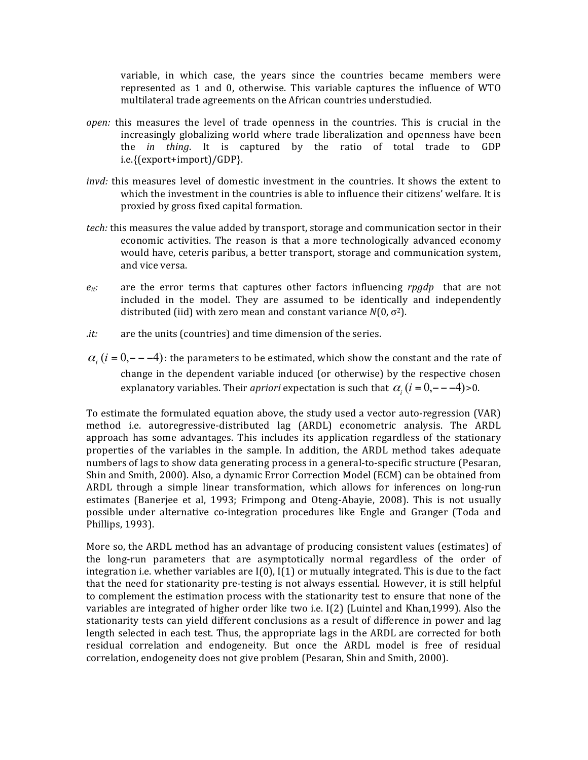variable, in which case, the years since the countries became members were represented as  $1$  and  $0$ , otherwise. This variable captures the influence of WTO multilateral trade agreements on the African countries understudied.

- *open:* this measures the level of trade openness in the countries. This is crucial in the increasingly globalizing world where trade liberalization and openness have been the *in* thing. It is captured by the ratio of total trade to GDP i.e.{(export+import)/GDP}.
- *invd:* this measures level of domestic investment in the countries. It shows the extent to which the investment in the countries is able to influence their citizens' welfare. It is proxied by gross fixed capital formation.
- *tech:* this measures the value added by transport, storage and communication sector in their economic activities. The reason is that a more technologically advanced economy would have, ceteris paribus, a better transport, storage and communication system, and vice versa.
- $e_{it}$ : are the error terms that captures other factors influencing *rpgdp* that are not included in the model. They are assumed to be identically and independently distributed (iid) with zero mean and constant variance  $N(0, \sigma^2)$ .
- *it:* are the units (countries) and time dimension of the series.
- $\alpha_i$  (*i* = 0, − –4): the parameters to be estimated, which show the constant and the rate of change in the dependent variable induced (or otherwise) by the respective chosen explanatory variables. Their *apriori* expectation is such that  $\alpha$ ,  $(i = 0, - -4)$  >0.

To estimate the formulated equation above, the study used a vector auto-regression (VAR) method i.e. autoregressive-distributed lag (ARDL) econometric analysis. The ARDL approach has some advantages. This includes its application regardless of the stationary properties of the variables in the sample. In addition, the ARDL method takes adequate numbers of lags to show data generating process in a general-to-specific structure (Pesaran, Shin and Smith, 2000). Also, a dynamic Error Correction Model (ECM) can be obtained from ARDL through a simple linear transformation, which allows for inferences on long-run estimates (Banerjee et al, 1993; Frimpong and Oteng-Abayie, 2008). This is not usually possible under alternative co-integration procedures like Engle and Granger (Toda and Phillips, 1993).

More so, the ARDL method has an advantage of producing consistent values (estimates) of the long-run parameters that are asymptotically normal regardless of the order of integration i.e. whether variables are  $I(0)$ ,  $I(1)$  or mutually integrated. This is due to the fact that the need for stationarity pre-testing is not always essential. However, it is still helpful to complement the estimation process with the stationarity test to ensure that none of the variables are integrated of higher order like two i.e.  $I(2)$  (Luintel and Khan,1999). Also the stationarity tests can yield different conclusions as a result of difference in power and lag length selected in each test. Thus, the appropriate lags in the ARDL are corrected for both residual correlation and endogeneity. But once the ARDL model is free of residual correlation, endogeneity does not give problem (Pesaran, Shin and Smith, 2000).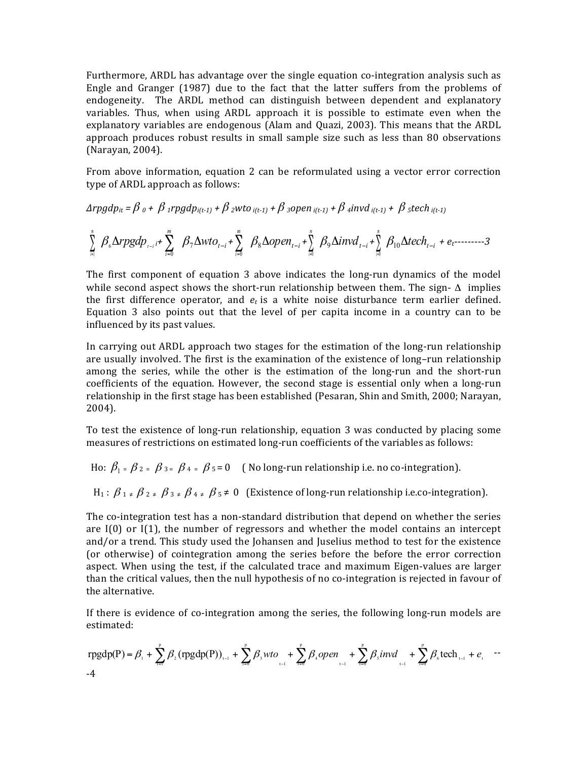Furthermore, ARDL has advantage over the single equation co-integration analysis such as Engle and Granger  $(1987)$  due to the fact that the latter suffers from the problems of endogeneity. The ARDL method can distinguish between dependent and explanatory variables. Thus, when using ARDL approach it is possible to estimate even when the explanatory variables are endogenous (Alam and Quazi, 2003). This means that the ARDL approach produces robust results in small sample size such as less than 80 observations (Narayan, 2004).

From above information, equation 2 can be reformulated using a vector error correction type of ARDL approach as follows:

 $\Delta$ *rpgdp<sub>it</sub>* =  $\beta$  <sub>0</sub> +  $\beta$  *<sub>1</sub>rpgdp<sub>i(t-1)</sub> +*  $\beta$  *<i>zwto i(t-1)* +  $\beta$  *zopen i(t-1)* +  $\beta$  *zftech i(t-1)* +  $\beta$  *ztech i(t-1)* 

$$
\sum_{i=1}^{n} \beta_{\delta} \Delta r p g dp_{t-i} + \sum_{i=0}^{m} \beta_{i} \Delta w to_{t-i} + \sum_{i=0}^{m} \beta_{\delta} \Delta ope n_{t-i} + \sum_{i=0}^{n} \beta_{i} \Delta i n v d_{t-i} + \sum_{i=0}^{n} \beta_{i} \Delta t ech_{t-i} + e_{t}
$$

The first component of equation  $3$  above indicates the long-run dynamics of the model while second aspect shows the short-run relationship between them. The sign-  $\Delta$  implies the first difference operator, and  $e_t$  is a white noise disturbance term earlier defined. Equation 3 also points out that the level of per capita income in a country can to be influenced by its past values.

In carrying out ARDL approach two stages for the estimation of the long-run relationship are usually involved. The first is the examination of the existence of long-run relationship among the series, while the other is the estimation of the long-run and the short-run coefficients of the equation. However, the second stage is essential only when a long-run relationship in the first stage has been established (Pesaran, Shin and Smith, 2000; Narayan, 2004). 

To test the existence of long-run relationship, equation 3 was conducted by placing some measures of restrictions on estimated long-run coefficients of the variables as follows:

Ho:  $\beta_1 = \beta_2 = \beta_3 = \beta_4 = \beta_5 = 0$  (No long-run relationship i.e. no co-integration).

 $H_1$ :  $\beta_1 \neq \beta_2 \neq \beta_3 \neq \beta_4 \neq \beta_5 \neq 0$  (Existence of long-run relationship i.e.co-integration).

The co-integration test has a non-standard distribution that depend on whether the series are  $I(0)$  or  $I(1)$ , the number of regressors and whether the model contains an intercept and/or a trend. This study used the Johansen and Juselius method to test for the existence (or otherwise) of cointegration among the series before the before the error correction aspect. When using the test, if the calculated trace and maximum Eigen-values are larger than the critical values, then the null hypothesis of no co-integration is rejected in favour of the alternative.

If there is evidence of co-integration among the series, the following long-run models are estimated:

$$
rgdp(P) = \beta_{1} + \sum_{i=1}^{p} \beta_{2} (rgdp(P))_{i-1} + \sum_{i=0}^{p} \beta_{3} wto_{i-1} + \sum_{i=0}^{p} \beta_{4} open_{i-1} + \sum_{i=0}^{p} \beta_{5} invd_{i-1} + \sum_{i=0}^{p} \beta_{6} tech_{i-1} + e_{i} \quad -4
$$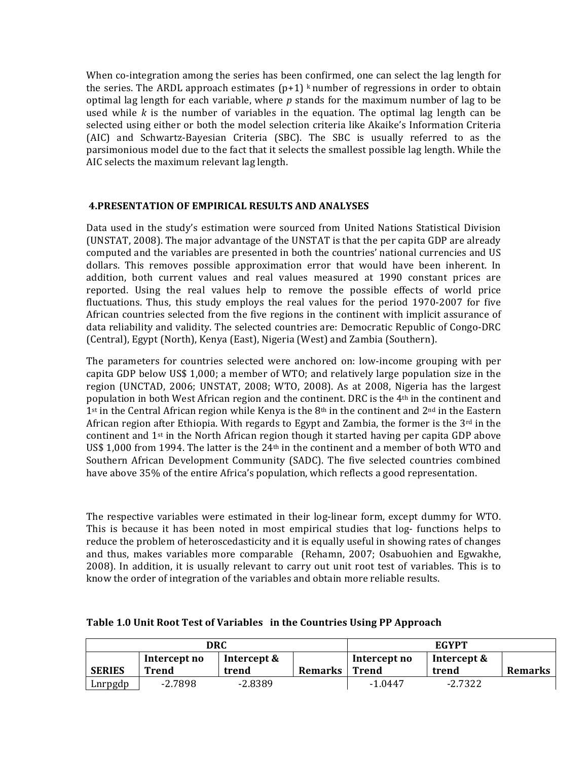When co-integration among the series has been confirmed, one can select the lag length for the series. The ARDL approach estimates  $(p+1)$  k number of regressions in order to obtain optimal lag length for each variable, where  $p$  stands for the maximum number of lag to be used while  $k$  is the number of variables in the equation. The optimal lag length can be selected using either or both the model selection criteria like Akaike's Information Criteria (AIC) and Schwartz-Bayesian Criteria (SBC). The SBC is usually referred to as the parsimonious model due to the fact that it selects the smallest possible lag length. While the AIC selects the maximum relevant lag length.

## **4.PRESENTATION OF EMPIRICAL RESULTS AND ANALYSES**

Data used in the study's estimation were sourced from United Nations Statistical Division (UNSTAT, 2008). The major advantage of the UNSTAT is that the per capita GDP are already computed and the variables are presented in both the countries' national currencies and US dollars. This removes possible approximation error that would have been inherent. In addition, both current values and real values measured at 1990 constant prices are reported. Using the real values help to remove the possible effects of world price fluctuations. Thus, this study employs the real values for the period 1970-2007 for five African countries selected from the five regions in the continent with implicit assurance of data reliability and validity. The selected countries are: Democratic Republic of Congo-DRC (Central), Egypt (North), Kenya (East), Nigeria (West) and Zambia (Southern).

The parameters for countries selected were anchored on: low-income grouping with per capita GDP below US\$ 1,000; a member of WTO; and relatively large population size in the region (UNCTAD, 2006; UNSTAT, 2008; WTO, 2008). As at 2008, Nigeria has the largest population in both West African region and the continent. DRC is the  $4<sup>th</sup>$  in the continent and 1<sup>st</sup> in the Central African region while Kenya is the  $8<sup>th</sup>$  in the continent and  $2<sup>nd</sup>$  in the Eastern African region after Ethiopia. With regards to Egypt and Zambia, the former is the  $3<sup>rd</sup>$  in the continent and  $1<sup>st</sup>$  in the North African region though it started having per capita GDP above US\$ 1,000 from 1994. The latter is the  $24<sup>th</sup>$  in the continent and a member of both WTO and Southern African Development Community (SADC). The five selected countries combined have above 35% of the entire Africa's population, which reflects a good representation.

The respective variables were estimated in their log-linear form, except dummy for WTO. This is because it has been noted in most empirical studies that log- functions helps to reduce the problem of heteroscedasticity and it is equally useful in showing rates of changes and thus, makes variables more comparable (Rehamn, 2007; Osabuohien and Egwakhe, 2008). In addition, it is usually relevant to carry out unit root test of variables. This is to know the order of integration of the variables and obtain more reliable results.

| DRC           |              |             |         | <b>EGYPT</b> |             |                |
|---------------|--------------|-------------|---------|--------------|-------------|----------------|
|               | Intercept no | Intercept & |         | Intercept no | Intercept & |                |
| <b>SERIES</b> | Trend        | trend       | Remarks | Trend        | trend       | <b>Remarks</b> |
| Lnrpgdp       | $-2.7898$    | $-2.8389$   |         | $-1.0447$    | $-2.7322$   |                |

### Table 1.0 Unit Root Test of Variables in the Countries Using PP Approach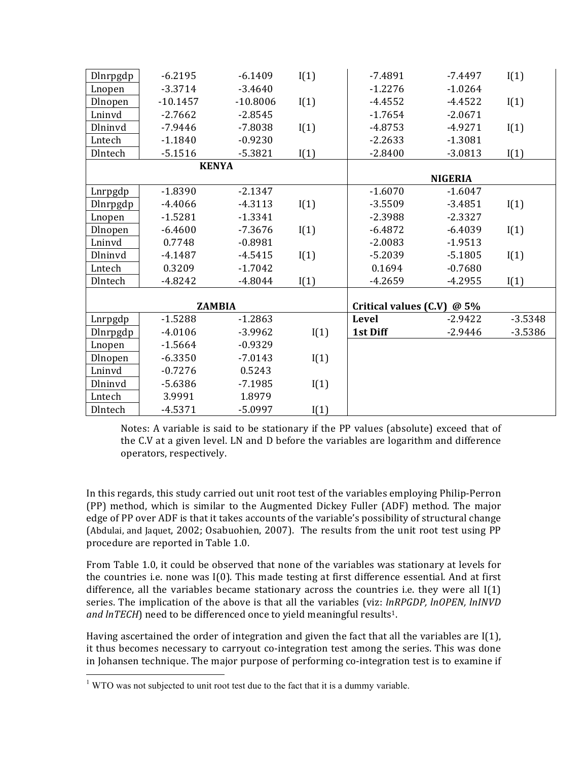| Dlnrpgdp       | $-6.2195$     | $-6.1409$  | I(1) | $-7.4891$                     | $-7.4497$      | I(1)      |
|----------------|---------------|------------|------|-------------------------------|----------------|-----------|
| Lnopen         | $-3.3714$     | $-3.4640$  |      | $-1.2276$                     | $-1.0264$      |           |
| Dlnopen        | $-10.1457$    | $-10.8006$ | I(1) | $-4.4552$                     | $-4.4522$      | I(1)      |
| Lninvd         | $-2.7662$     | $-2.8545$  |      | $-1.7654$                     | $-2.0671$      |           |
| <b>Dlninvd</b> | $-7.9446$     | $-7.8038$  | I(1) | $-4.8753$                     | $-4.9271$      | I(1)      |
| Lntech         | $-1.1840$     | $-0.9230$  |      | $-2.2633$                     | $-1.3081$      |           |
| Dlntech        | $-5.1516$     | $-5.3821$  | I(1) | $-2.8400$                     | $-3.0813$      | I(1)      |
|                | <b>KENYA</b>  |            |      |                               |                |           |
|                |               |            |      |                               | <b>NIGERIA</b> |           |
| Lnrpgdp        | $-1.8390$     | $-2.1347$  |      | $-1.6070$                     | $-1.6047$      |           |
| Dlnrpgdp       | $-4.4066$     | $-4.3113$  | I(1) | $-3.5509$                     | $-3.4851$      | I(1)      |
| Lnopen         | $-1.5281$     | $-1.3341$  |      | $-2.3988$                     | $-2.3327$      |           |
| Dlnopen        | $-6.4600$     | $-7.3676$  | I(1) | $-6.4872$                     | $-6.4039$      | I(1)      |
| Lninvd         | 0.7748        | $-0.8981$  |      | $-2.0083$                     | $-1.9513$      |           |
| Dlninvd        | $-4.1487$     | $-4.5415$  | I(1) | $-5.2039$                     | $-5.1805$      | I(1)      |
| Lntech         | 0.3209        | $-1.7042$  |      | 0.1694                        | $-0.7680$      |           |
| Dlntech        | $-4.8242$     | $-4.8044$  | I(1) | $-4.2659$                     | $-4.2955$      | I(1)      |
|                |               |            |      |                               |                |           |
|                | <b>ZAMBIA</b> |            |      | Critical values $(C.V) @ 5\%$ |                |           |
| Lnrpgdp        | $-1.5288$     | $-1.2863$  |      | Level                         | $-2.9422$      | $-3.5348$ |
| Dlnrpgdp       | $-4.0106$     | $-3.9962$  | I(1) | 1st Diff                      | $-2.9446$      | $-3.5386$ |
| Lnopen         | $-1.5664$     | $-0.9329$  |      |                               |                |           |
| Dlnopen        | $-6.3350$     | $-7.0143$  | I(1) |                               |                |           |
| Lninvd         | $-0.7276$     | 0.5243     |      |                               |                |           |
| Dlninvd        | $-5.6386$     | $-7.1985$  | I(1) |                               |                |           |
| Lntech         | 3.9991        | 1.8979     |      |                               |                |           |
| Dlntech        | $-4.5371$     | $-5.0997$  | I(1) |                               |                |           |

Notes: A variable is said to be stationary if the PP values (absolute) exceed that of the C.V at a given level. LN and D before the variables are logarithm and difference operators, respectively.

In this regards, this study carried out unit root test of the variables employing Philip-Perron (PP) method, which is similar to the Augmented Dickey Fuller (ADF) method. The major edge of PP over ADF is that it takes accounts of the variable's possibility of structural change (Abdulai, and Jaquet, 2002; Osabuohien, 2007). The results from the unit root test using PP procedure are reported in Table 1.0.

From Table 1.0, it could be observed that none of the variables was stationary at levels for the countries i.e. none was  $I(0)$ . This made testing at first difference essential. And at first difference, all the variables became stationary across the countries *i.e.* they were all  $I(1)$ series. The implication of the above is that all the variables (viz: *lnRPGDP, lnOPEN, lnINVD* and lnTECH) need to be differenced once to yield meaningful results<sup>1</sup>.

Having ascertained the order of integration and given the fact that all the variables are  $I(1)$ , it thus becomes necessary to carryout co-integration test among the series. This was done in Johansen technique. The major purpose of performing co-integration test is to examine if

<u> 1989 - Johann Stein, markin film yn y breninn y breninn y breninn y breninn y breninn y breninn y breninn y b</u>

 $1$  WTO was not subjected to unit root test due to the fact that it is a dummy variable.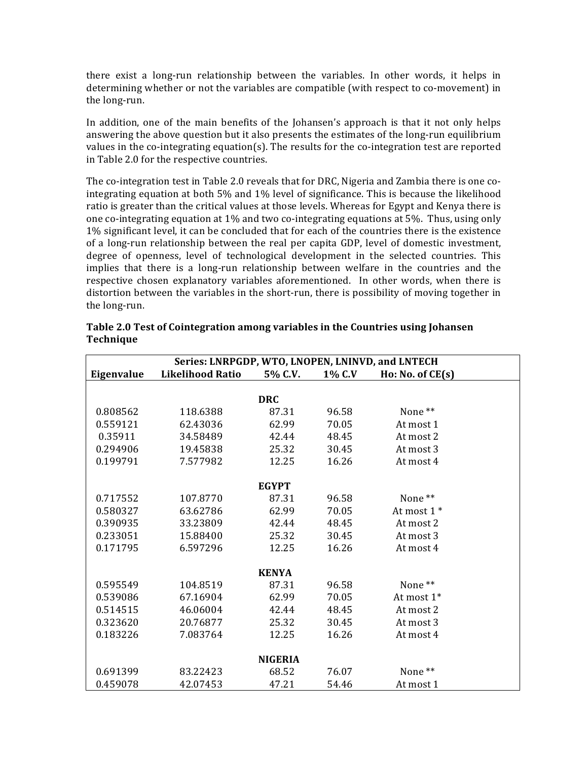there exist a long-run relationship between the variables. In other words, it helps in determining whether or not the variables are compatible (with respect to co-movement) in the long-run.

In addition, one of the main benefits of the Johansen's approach is that it not only helps answering the above question but it also presents the estimates of the long-run equilibrium values in the co-integrating equation(s). The results for the co-integration test are reported in Table 2.0 for the respective countries.

The co-integration test in Table 2.0 reveals that for DRC, Nigeria and Zambia there is one cointegrating equation at both 5% and 1% level of significance. This is because the likelihood ratio is greater than the critical values at those levels. Whereas for Egypt and Kenya there is one co-integrating equation at 1% and two co-integrating equations at 5%. Thus, using only 1% significant level, it can be concluded that for each of the countries there is the existence of a long-run relationship between the real per capita GDP, level of domestic investment, degree of openness, level of technological development in the selected countries. This implies that there is a long-run relationship between welfare in the countries and the respective chosen explanatory variables aforementioned. In other words, when there is distortion between the variables in the short-run, there is possibility of moving together in the long-run.

| Series: LNRPGDP, WTO, LNOPEN, LNINVD, and LNTECH |                         |                |        |                     |  |  |
|--------------------------------------------------|-------------------------|----------------|--------|---------------------|--|--|
| Eigenvalue                                       | <b>Likelihood Ratio</b> | 5% C.V.        | 1% C.V | $H_0: No. of CE(s)$ |  |  |
|                                                  |                         |                |        |                     |  |  |
|                                                  |                         | <b>DRC</b>     |        |                     |  |  |
| 0.808562                                         | 118.6388                | 87.31          | 96.58  | None <sup>**</sup>  |  |  |
| 0.559121                                         | 62.43036                | 62.99          | 70.05  | At most 1           |  |  |
| 0.35911                                          | 34.58489                | 42.44          | 48.45  | At most 2           |  |  |
| 0.294906                                         | 19.45838                | 25.32          | 30.45  | At most 3           |  |  |
| 0.199791                                         | 7.577982                | 12.25          | 16.26  | At most 4           |  |  |
|                                                  |                         |                |        |                     |  |  |
|                                                  |                         | <b>EGYPT</b>   |        |                     |  |  |
| 0.717552                                         | 107.8770                | 87.31          | 96.58  | None**              |  |  |
| 0.580327                                         | 63.62786                | 62.99          | 70.05  | At most 1 *         |  |  |
| 0.390935                                         | 33.23809                | 42.44          | 48.45  | At most 2           |  |  |
| 0.233051                                         | 15.88400                | 25.32          | 30.45  | At most 3           |  |  |
| 0.171795                                         | 6.597296                | 12.25          | 16.26  | At most 4           |  |  |
|                                                  |                         |                |        |                     |  |  |
|                                                  |                         | <b>KENYA</b>   |        |                     |  |  |
| 0.595549                                         | 104.8519                | 87.31          | 96.58  | None**              |  |  |
| 0.539086                                         | 67.16904                | 62.99          | 70.05  | At most 1*          |  |  |
| 0.514515                                         | 46.06004                | 42.44          | 48.45  | At most 2           |  |  |
| 0.323620                                         | 20.76877                | 25.32          | 30.45  | At most 3           |  |  |
| 0.183226                                         | 7.083764                | 12.25          | 16.26  | At most 4           |  |  |
|                                                  |                         |                |        |                     |  |  |
|                                                  |                         | <b>NIGERIA</b> |        |                     |  |  |
| 0.691399                                         | 83.22423                | 68.52          | 76.07  | None <sup>**</sup>  |  |  |
| 0.459078                                         | 42.07453                | 47.21          | 54.46  | At most 1           |  |  |

Table 2.0 Test of Cointegration among variables in the Countries using Johansen **Technique**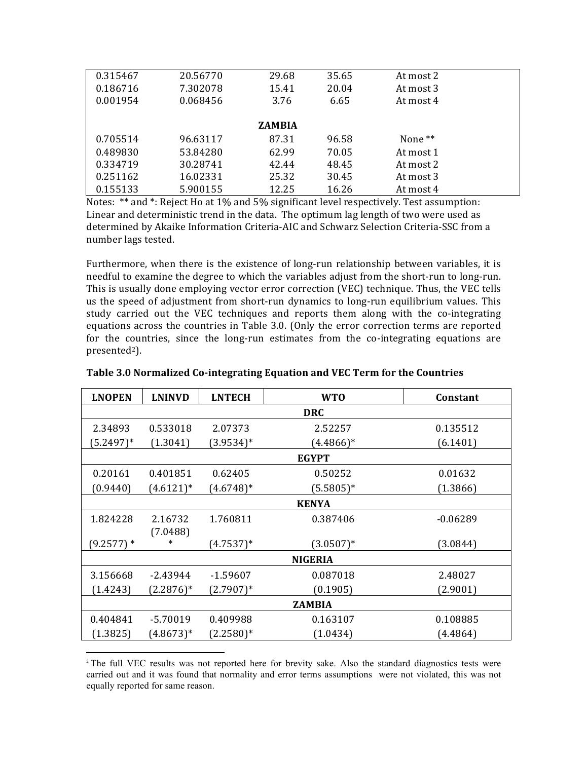| 0.315467 | 20.56770 | 29.68         | 35.65 | At most 2          |  |
|----------|----------|---------------|-------|--------------------|--|
| 0.186716 | 7.302078 | 15.41         | 20.04 | At most 3          |  |
| 0.001954 | 0.068456 | 3.76          | 6.65  | At most 4          |  |
|          |          |               |       |                    |  |
|          |          | <b>ZAMBIA</b> |       |                    |  |
| 0.705514 | 96.63117 | 87.31         | 96.58 | None <sup>**</sup> |  |
| 0.489830 | 53.84280 | 62.99         | 70.05 | At most 1          |  |
| 0.334719 | 30.28741 | 42.44         | 48.45 | At most 2          |  |
| 0.251162 | 16.02331 | 25.32         | 30.45 | At most 3          |  |
| 0.155133 | 5.900155 | 12.25         | 16.26 | At most 4          |  |

Notes:  $**$  and  $*$ : Reject Ho at 1% and 5% significant level respectively. Test assumption: Linear and deterministic trend in the data. The optimum lag length of two were used as determined by Akaike Information Criteria-AIC and Schwarz Selection Criteria-SSC from a number lags tested.

Furthermore, when there is the existence of long-run relationship between variables, it is needful to examine the degree to which the variables adjust from the short-run to long-run. This is usually done employing vector error correction (VEC) technique. Thus, the VEC tells us the speed of adjustment from short-run dynamics to long-run equilibrium values. This study carried out the VEC techniques and reports them along with the co-integrating equations across the countries in Table 3.0. (Only the error correction terms are reported for the countries, since the long-run estimates from the co-integrating equations are presented<sup>2</sup>).

| <b>LNOPEN</b> | <b>LNINVD</b> | <b>LNTECH</b> | <b>WTO</b>     | Constant   |  |  |
|---------------|---------------|---------------|----------------|------------|--|--|
| <b>DRC</b>    |               |               |                |            |  |  |
| 2.34893       | 0.533018      | 2.07373       | 2.52257        | 0.135512   |  |  |
| $(5.2497)^*$  | (1.3041)      | $(3.9534)^*$  | $(4.4866)^*$   | (6.1401)   |  |  |
|               |               |               | <b>EGYPT</b>   |            |  |  |
| 0.20161       | 0.401851      | 0.62405       | 0.50252        | 0.01632    |  |  |
| (0.9440)      | $(4.6121)^*$  | $(4.6748)*$   | $(5.5805)*$    | (1.3866)   |  |  |
|               |               |               | <b>KENYA</b>   |            |  |  |
| 1.824228      | 2.16732       | 1.760811      | 0.387406       | $-0.06289$ |  |  |
|               | (7.0488)      |               |                |            |  |  |
| $(9.2577)*$   | *             | $(4.7537)^*$  | $(3.0507)^*$   | (3.0844)   |  |  |
|               |               |               | <b>NIGERIA</b> |            |  |  |
| 3.156668      | -2.43944      | $-1.59607$    | 0.087018       | 2.48027    |  |  |
| (1.4243)      | $(2.2876)*$   | $(2.7907)^*$  | (0.1905)       | (2.9001)   |  |  |
| <b>ZAMBIA</b> |               |               |                |            |  |  |
| 0.404841      | $-5.70019$    | 0.409988      | 0.163107       | 0.108885   |  |  |
| (1.3825)      | $(4.8673)*$   | $(2.2580)*$   | (1.0434)       | (4.4864)   |  |  |

**Table 3.0 Normalized Co-integrating Equation and VEC Term for the Countries** 

 

<sup>2</sup> The full VEC results was not reported here for brevity sake. Also the standard diagnostics tests were carried out and it was found that normality and error terms assumptions were not violated, this was not equally reported for same reason.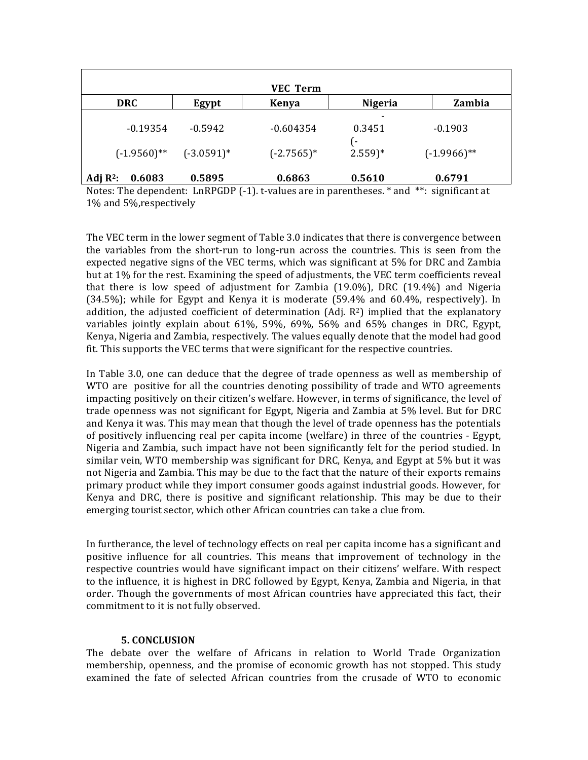|                                |                                                    | <b>VEC Term</b> |                      |                |
|--------------------------------|----------------------------------------------------|-----------------|----------------------|----------------|
| <b>DRC</b>                     | Egypt                                              | <b>Kenya</b>    | <b>Nigeria</b>       | Zambia         |
| $-0.19354$                     | $-0.5942$                                          | $-0.604354$     | 0.3451               | $-0.1903$      |
|                                | $(-1.9560)$ <sup>**</sup> $(-3.0591)$ <sup>*</sup> | $(-2.7565)*$    | $2.559$ <sup>*</sup> | $(-1.9966)$ ** |
| Adj $\mathbb{R}^2$ :<br>0.6083 | 0.5895                                             | 0.6863          | 0.5610               | 0.6791         |

Notes: The dependent: LnRPGDP  $(-1)$ . t-values are in parentheses.  $*$  and  $**$ : significant at 1% and 5%, respectively

The VEC term in the lower segment of Table 3.0 indicates that there is convergence between the variables from the short-run to long-run across the countries. This is seen from the expected negative signs of the VEC terms, which was significant at 5% for DRC and Zambia but at 1% for the rest. Examining the speed of adjustments, the VEC term coefficients reveal that there is low speed of adjustment for Zambia  $(19.0\%)$ , DRC  $(19.4\%)$  and Nigeria  $(34.5\%)$ ; while for Egypt and Kenya it is moderate  $(59.4\%$  and  $60.4\%$ , respectively). In addition, the adjusted coefficient of determination  $(Ad)$ .  $R^2$ ) implied that the explanatory variables jointly explain about  $61\%$ ,  $59\%$ ,  $69\%$ ,  $56\%$  and  $65\%$  changes in DRC, Egypt, Kenya, Nigeria and Zambia, respectively. The values equally denote that the model had good fit. This supports the VEC terms that were significant for the respective countries.

In Table 3.0, one can deduce that the degree of trade openness as well as membership of WTO are positive for all the countries denoting possibility of trade and WTO agreements impacting positively on their citizen's welfare. However, in terms of significance, the level of trade openness was not significant for Egypt, Nigeria and Zambia at 5% level. But for DRC and Kenya it was. This may mean that though the level of trade openness has the potentials of positively influencing real per capita income (welfare) in three of the countries - Egypt, Nigeria and Zambia, such impact have not been significantly felt for the period studied. In similar vein, WTO membership was significant for DRC, Kenya, and Egypt at  $5\%$  but it was not Nigeria and Zambia. This may be due to the fact that the nature of their exports remains primary product while they import consumer goods against industrial goods. However, for Kenya and DRC, there is positive and significant relationship. This may be due to their emerging tourist sector, which other African countries can take a clue from.

In furtherance, the level of technology effects on real per capita income has a significant and positive influence for all countries. This means that improvement of technology in the respective countries would have significant impact on their citizens' welfare. With respect to the influence, it is highest in DRC followed by Egypt, Kenya, Zambia and Nigeria, in that order. Though the governments of most African countries have appreciated this fact, their commitment to it is not fully observed.

## **5. CONCLUSION**

The debate over the welfare of Africans in relation to World Trade Organization membership, openness, and the promise of economic growth has not stopped. This study examined the fate of selected African countries from the crusade of WTO to economic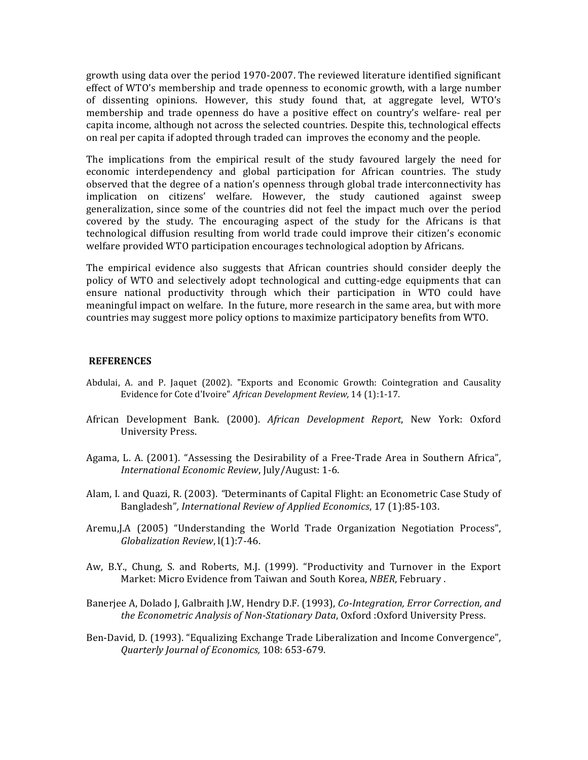growth using data over the period 1970-2007. The reviewed literature identified significant effect of WTO's membership and trade openness to economic growth, with a large number of dissenting opinions. However, this study found that, at aggregate level, WTO's membership and trade openness do have a positive effect on country's welfare- real per capita income, although not across the selected countries. Despite this, technological effects on real per capita if adopted through traded can improves the economy and the people.

The implications from the empirical result of the study favoured largely the need for economic interdependency and global participation for African countries. The study observed that the degree of a nation's openness through global trade interconnectivity has implication on citizens' welfare. However, the study cautioned against sweep generalization, since some of the countries did not feel the impact much over the period covered by the study. The encouraging aspect of the study for the Africans is that technological diffusion resulting from world trade could improve their citizen's economic welfare provided WTO participation encourages technological adoption by Africans.

The empirical evidence also suggests that African countries should consider deeply the policy of WTO and selectively adopt technological and cutting-edge equipments that can ensure national productivity through which their participation in WTO could have meaningful impact on welfare. In the future, more research in the same area, but with more countries may suggest more policy options to maximize participatory benefits from WTO.

## **REFERENCES**

- Abdulai, A. and P. Jaquet (2002). "Exports and Economic Growth: Cointegration and Causality Evidence for Cote d'Ivoire" African Development Review, 14 (1):1-17.
- African Development Bank. (2000). *African Development Report*, New York: Oxford University Press.
- Agama, L. A. (2001). "Assessing the Desirability of a Free-Trade Area in Southern Africa", *International Economic Review*, July/August: 1-6.
- Alam, I. and Quazi, R. (2003). *"Determinants of Capital Flight:* an Econometric Case Study of Bangladesh", *International Review of Applied Economics*, 17 (1):85-103.
- Aremu, J.A (2005) "Understanding the World Trade Organization Negotiation Process", *Globalization Review*, l(1):7-46.
- Aw, B.Y., Chung, S. and Roberts, M.J. (1999). "Productivity and Turnover in the Export Market: Micro Evidence from Taiwan and South Korea, *NBER*, February .
- Banerjee A, Dolado J, Galbraith J.W, Hendry D.F. (1993), *Co-Integration, Error Correction, and* the Econometric Analysis of Non-Stationary Data, Oxford :Oxford University Press.
- Ben-David, D. (1993). "Equalizing Exchange Trade Liberalization and Income Convergence", *Quarterly Journal of Economics,* 108: 653-679.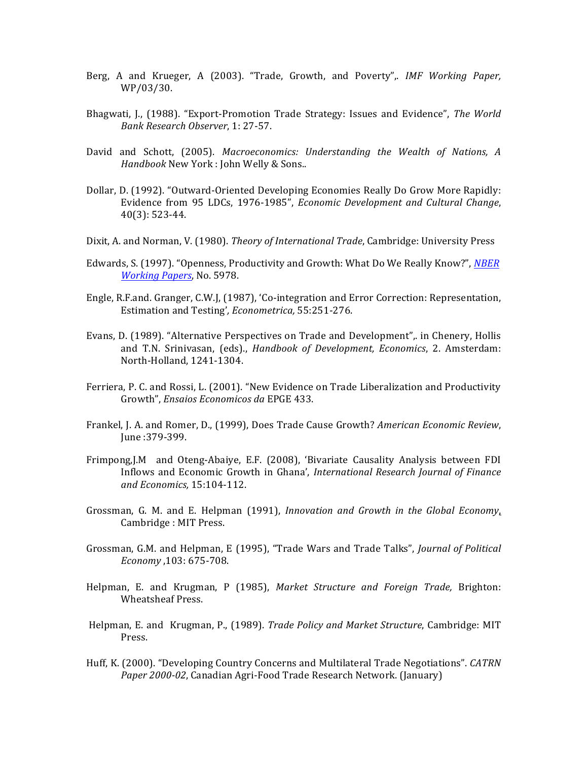- Berg, A and Krueger, A (2003). "Trade, Growth, and Poverty",. IMF Working Paper, WP/03/30.
- Bhagwati, J., (1988). "Export-Promotion Trade Strategy: Issues and Evidence", *The World Bank Research Observer*, 1: 27-57.
- David and Schott, (2005). *Macroeconomics: Understanding the Wealth of Nations, A Handbook* New York : John Welly & Sons..
- Dollar, D. (1992). "Outward-Oriented Developing Economies Really Do Grow More Rapidly: Evidence from 95 LDCs, 1976-1985", *Economic Development and Cultural Change*, 40(3): 523-44.
- Dixit, A. and Norman, V. (1980). *Theory of International Trade*, Cambridge: University Press
- Edwards, S. (1997). "Openness, Productivity and Growth: What Do We Really Know?", *NBER Working Papers*, No. 5978.
- Engle, R.F.and. Granger, C.W.J, (1987), 'Co-integration and Error Correction: Representation, Estimation and Testing', *Econometrica*, 55:251-276.
- Evans, D. (1989). "Alternative Perspectives on Trade and Development", in Chenery, Hollis and T.N. Srinivasan, (eds)., *Handbook of Development, Economics*, 2. Amsterdam: North-Holland, 1241-1304.
- Ferriera, P. C. and Rossi, L. (2001). "New Evidence on Trade Liberalization and Productivity Growth", *Ensaios Economicos da* EPGE 433.
- Frankel, J. A. and Romer, D., (1999), Does Trade Cause Growth? *American Economic Review*, June :379-399.
- Frimpong,J.M and Oteng-Abaiye, E.F. (2008), 'Bivariate Causality Analysis between FDI Inflows and Economic Growth in Ghana', *International Research Journal of Finance and Economics,* 15:104-112.
- Grossman, G. M. and E. Helpman (1991), *Innovation and Growth in the Global Economy*, Cambridge : MIT Press.
- Grossman, G.M. and Helpman, E (1995), "Trade Wars and Trade Talks", *Journal of Political Economy* ,103: 675-708.
- Helpman, E. and Krugman, P (1985), *Market Structure and Foreign Trade*, Brighton: Wheatsheaf Press.
- Helpman, E. and Krugman, P., (1989). *Trade Policy and Market Structure*, Cambridge: MIT Press.
- Huff, K. (2000). "Developing Country Concerns and Multilateral Trade Negotiations". *CATRN* Paper 2000-02, Canadian Agri-Food Trade Research Network. (January)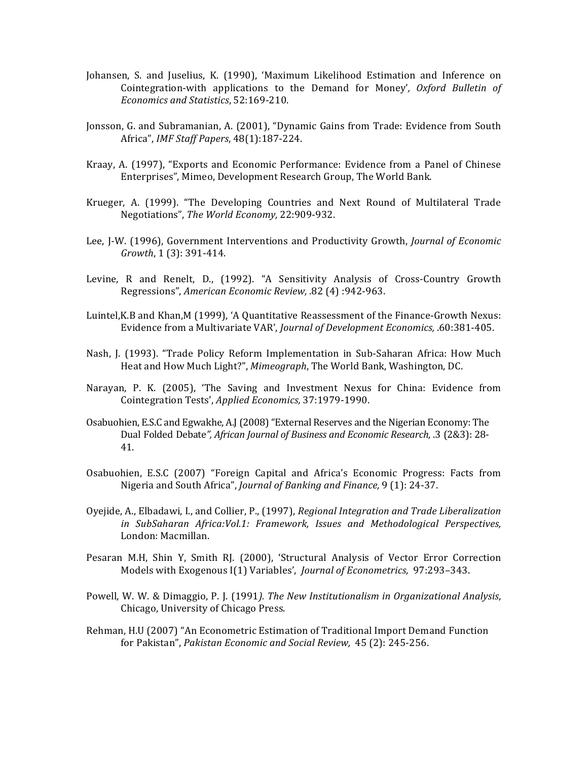- Johansen, S. and Juselius, K. (1990), 'Maximum Likelihood Estimation and Inference on Cointegration-with applications to the Demand for Money', *Oxford Bulletin of Economics and Statistics*, 52:169-210.
- Jonsson, G. and Subramanian, A. (2001), "Dynamic Gains from Trade: Evidence from South Africa", *IMF Staff Papers*, 48(1):187-224.
- Kraay, A. (1997), "Exports and Economic Performance: Evidence from a Panel of Chinese Enterprises", Mimeo, Development Research Group, The World Bank.
- Krueger, A. (1999). "The Developing Countries and Next Round of Multilateral Trade Negotiations", The World Economy, 22:909-932.
- Lee, J-W. (1996), Government Interventions and Productivity Growth, *Journal of Economic Growth*, 1(3): 391-414.
- Levine, R and Renelt, D., (1992). "A Sensitivity Analysis of Cross-Country Growth Regressions", *American Economic Review, .82* (4) :942-963.
- Luintel, K.B and Khan, M (1999), 'A Quantitative Reassessment of the Finance-Growth Nexus: Evidence from a Multivariate VAR', *Journal of Development Economics*, .60:381-405.
- Nash, J. (1993). "Trade Policy Reform Implementation in Sub-Saharan Africa: How Much Heat and How Much Light?", *Mimeograph*, The World Bank, Washington, DC.
- Narayan, P. K. (2005), 'The Saving and Investment Nexus for China: Evidence from Cointegration Tests', *Applied Economics,* 37:1979-1990.
- Osabuohien, E.S.C and Egwakhe, A.J (2008) "External Reserves and the Nigerian Economy: The Dual Folded Debate", African Journal of Business and Economic Research, .3 (2&3): 28-41.
- Osabuohien, E.S.C (2007) "Foreign Capital and Africa's Economic Progress: Facts from Nigeria and South Africa", *Journal of Banking and Finance*, 9 (1): 24-37.
- Oyejide, A., Elbadawi, I., and Collier, P., (1997), *Regional Integration and Trade Liberalization in SubSaharan Africa:Vol.1: Framework, Issues and Methodological Perspectives,* London: Macmillan.
- Pesaran M.H, Shin Y, Smith RJ. (2000), 'Structural Analysis of Vector Error Correction Models with Exogenous I(1) Variables', *Journal of Econometrics*, 97:293-343.
- Powell, W. W. & Dimaggio, P. J. (1991). The New Institutionalism in Organizational Analysis, Chicago, University of Chicago Press.
- Rehman, H.U (2007) "An Econometric Estimation of Traditional Import Demand Function for Pakistan", *Pakistan Economic and Social Review*, 45 (2): 245-256.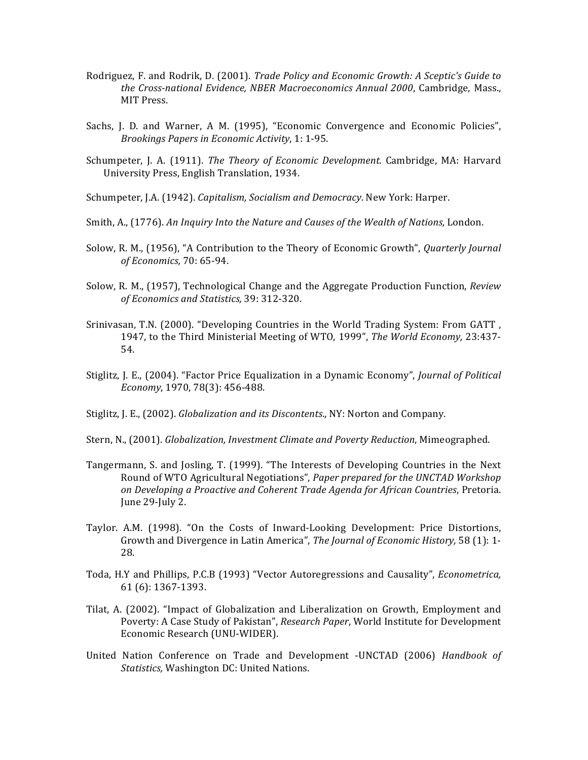- Rodriguez, F. and Rodrik, D. (2001). *Trade Policy and Economic Growth: A Sceptic's Guide to* the Cross-national Evidence, NBER Macroeconomics Annual 2000, Cambridge, Mass., MIT Press.
- Sachs, J. D. and Warner, A M. (1995), "Economic Convergence and Economic Policies", *Brookings Papers in Economic Activity*, 1: 1-95.
- Schumpeter, J. A. (1911). *The Theory of Economic Development*. Cambridge, MA: Harvard University Press, English Translation, 1934.
- Schumpeter, J.A. (1942). *Capitalism, Socialism and Democracy*. New York: Harper.
- Smith, A., (1776). An Inquiry Into the Nature and Causes of the Wealth of Nations, London.
- Solow, R. M., (1956), "A Contribution to the Theory of Economic Growth", *Quarterly Journal of Economics,* 70: 65-94.
- Solow, R. M., (1957), Technological Change and the Aggregate Production Function, *Review of Economics and Statistics,* 39: 312-320.
- Srinivasan, T.N. (2000). "Developing Countries in the World Trading System: From GATT, 1947, to the Third Ministerial Meeting of WTO, 1999", *The World Economy*, 23:437-54.
- Stiglitz, J. E., (2004). "Factor Price Equalization in a Dynamic Economy", *Journal of Political Economy*, 1970, 78(3): 456-488.
- Stiglitz, J. E., (2002). *Globalization and its Discontents*., NY: Norton and Company.
- Stern, N., (2001). *Globalization, Investment Climate and Poverty Reduction*, Mimeographed.
- Tangermann, S. and Josling, T. (1999). "The Interests of Developing Countries in the Next Round of WTO Agricultural Negotiations", *Paper prepared for the UNCTAD Workshop on Developing a Proactive and Coherent Trade Agenda for African Countries*, Pretoria. June 29-July 2.
- Taylor. A.M. (1998). "On the Costs of Inward-Looking Development: Price Distortions, Growth and Divergence in Latin America", *The Journal of Economic History*, 58 (1): 1-28.
- Toda, H.Y and Phillips, P.C.B (1993) "Vector Autoregressions and Causality", *Econometrica*, 61 (6): 1367-1393.
- Tilat, A. (2002). "Impact of Globalization and Liberalization on Growth, Employment and Poverty: A Case Study of Pakistan", *Research Paper*, World Institute for Development Economic Research (UNU-WIDER).
- United Nation Conference on Trade and Development -UNCTAD (2006) *Handbook of Statistics,* Washington DC: United Nations.